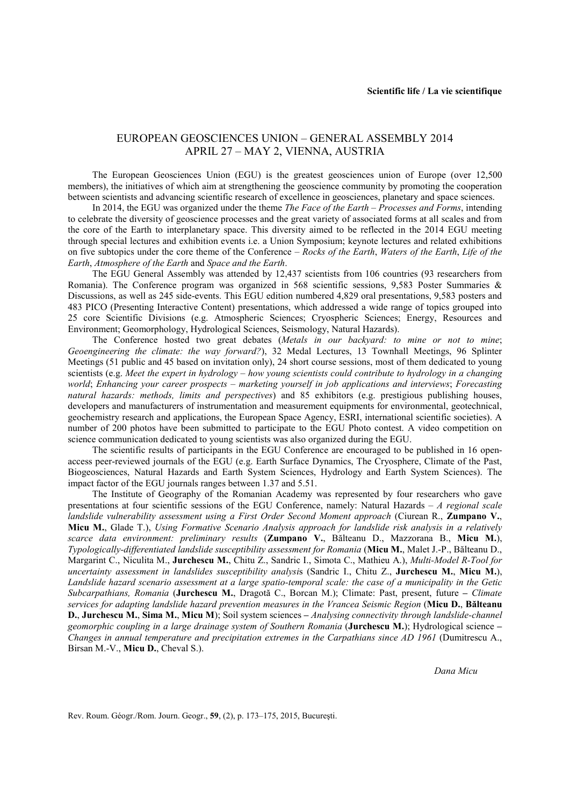## EUROPEAN GEOSCIENCES UNION – GENERAL ASSEMBLY 2014 APRIL 27 – MAY 2, VIENNA, AUSTRIA

The European Geosciences Union (EGU) is the greatest geosciences union of Europe (over 12,500 members), the initiatives of which aim at strengthening the geoscience community by promoting the cooperation between scientists and advancing scientific research of excellence in geosciences, planetary and space sciences.

In 2014, the EGU was organized under the theme *The Face of the Earth – Processes and Forms*, intending to celebrate the diversity of geoscience processes and the great variety of associated forms at all scales and from the core of the Earth to interplanetary space. This diversity aimed to be reflected in the 2014 EGU meeting through special lectures and exhibition events i.e. a Union Symposium; keynote lectures and related exhibitions on five subtopics under the core theme of the Conference – *Rocks of the Earth*, *Waters of the Earth*, *Life of the Earth*, *Atmosphere of the Earth* and *Space and the Earth*.

The EGU General Assembly was attended by 12,437 scientists from 106 countries (93 researchers from Romania). The Conference program was organized in 568 scientific sessions, 9,583 Poster Summaries & Discussions, as well as 245 side-events. This EGU edition numbered 4,829 oral presentations, 9,583 posters and 483 PICO (Presenting Interactive Content) presentations, which addressed a wide range of topics grouped into 25 core Scientific Divisions (e.g. Atmospheric Sciences; Cryospheric Sciences; Energy, Resources and Environment; Geomorphology, Hydrological Sciences, Seismology, Natural Hazards).

The Conference hosted two great debates (*Metals in our backyard: to mine or not to mine*; *Geoengineering the climate: the way forward?*), 32 Medal Lectures, 13 Townhall Meetings, 96 Splinter Meetings (51 public and 45 based on invitation only), 24 short course sessions, most of them dedicated to young scientists (e.g. *Meet the expert in hydrology – how young scientists could contribute to hydrology in a changing world*; *Enhancing your career prospects – marketing yourself in job applications and interviews*; *Forecasting natural hazards: methods, limits and perspectives*) and 85 exhibitors (e.g. prestigious publishing houses, developers and manufacturers of instrumentation and measurement equipments for environmental, geotechnical, geochemistry research and applications, the European Space Agency, ESRI, international scientific societies). A number of 200 photos have been submitted to participate to the EGU Photo contest. A video competition on science communication dedicated to young scientists was also organized during the EGU.

The scientific results of participants in the EGU Conference are encouraged to be published in 16 openaccess peer-reviewed journals of the EGU (e.g. Earth Surface Dynamics, The Cryosphere, Climate of the Past, Biogeosciences, Natural Hazards and Earth System Sciences, Hydrology and Earth System Sciences). The impact factor of the EGU journals ranges between 1.37 and 5.51.

The Institute of Geography of the Romanian Academy was represented by four researchers who gave presentations at four scientific sessions of the EGU Conference, namely: Natural Hazards – *A regional scale landslide vulnerability assessment using a First Order Second Moment approach* (Ciurean R., **Zumpano V.**, **Micu M.**, Glade T.), *Using Formative Scenario Analysis approach for landslide risk analysis in a relatively scarce data environment: preliminary results* (**Zumpano V.**, Bălteanu D., Mazzorana B., **Micu M.**), *Typologically-differentiated landslide susceptibility assessment for Romania* (**Micu M.**, Malet J.-P., Bălteanu D., Margarint C., Niculita M., **Jurchescu M.**, Chitu Z., Sandric I., Simota C., Mathieu A.), *Multi-Model R-Tool for uncertainty assessment in landslides susceptibility analysi*s (Sandric I., Chitu Z., **Jurchescu M.**, **Micu M.**), *Landslide hazard scenario assessment at a large spatio-temporal scale: the case of a municipality in the Getic Subcarpathians, Romania* (**Jurchescu M.**, Dragotă C., Borcan M.); Climate: Past, present, future **–** *Climate services for adapting landslide hazard prevention measures in the Vrancea Seismic Region* (**Micu D.**, **Bălteanu D.**, **Jurchescu M.**, **Sima M.**, **Micu M**); Soil system sciences **–** *Analysing connectivity through landslide-channel geomorphic coupling in a large drainage system of Southern Romania* (**Jurchescu M.**); Hydrological science **–** *Changes in annual temperature and precipitation extremes in the Carpathians since AD 1961* (Dumitrescu A., Birsan M.-V., **Micu D.**, Cheval S.).

*Dana Micu*

Rev. Roum. Géogr./Rom. Journ. Geogr., **59**, (2), p. 173–175, 2015, Bucureşti.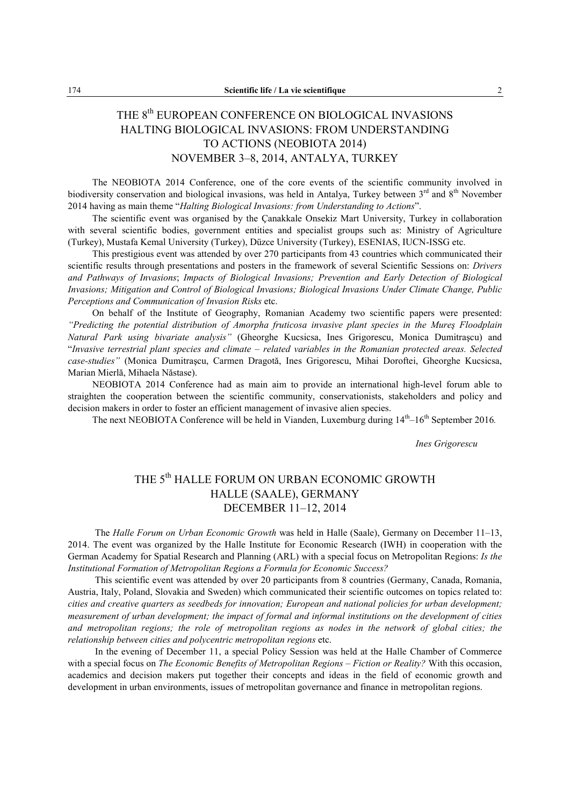## THE 8<sup>th</sup> EUROPEAN CONFERENCE ON BIOLOGICAL INVASIONS HALTING BIOLOGICAL INVASIONS: FROM UNDERSTANDING TO ACTIONS (NEOBIOTA 2014) NOVEMBER 3–8, 2014, ANTALYA, TURKEY

The NEOBIOTA 2014 Conference, one of the core events of the scientific community involved in biodiversity conservation and biological invasions, was held in Antalya, Turkey between 3<sup>rd</sup> and 8<sup>th</sup> November 2014 having as main theme "*Halting Biological Invasions: from Understanding to Actions*".

The scientific event was organised by the Çanakkale Onsekiz Mart University, Turkey in collaboration with several scientific bodies, government entities and specialist groups such as: Ministry of Agriculture (Turkey), Mustafa Kemal University (Turkey), Düzce University (Turkey), ESENIAS, IUCN-ISSG etc.

This prestigious event was attended by over 270 participants from 43 countries which communicated their scientific results through presentations and posters in the framework of several Scientific Sessions on: *Drivers and Pathways of Invasions*; *Impacts of Biological Invasions; Prevention and Early Detection of Biological Invasions; Mitigation and Control of Biological Invasions; Biological Invasions Under Climate Change, Public Perceptions and Communication of Invasion Risks* etc.

On behalf of the Institute of Geography, Romanian Academy two scientific papers were presented: *"Predicting the potential distribution of Amorpha fruticosa invasive plant species in the Mureş Floodplain Natural Park using bivariate analysis"* (Gheorghe Kucsicsa, Ines Grigorescu, Monica Dumitraşcu) and "*Invasive terrestrial plant species and climate – related variables in the Romanian protected areas. Selected case-studies"* (Monica Dumitraşcu, Carmen Dragotă, Ines Grigorescu, Mihai Doroftei, Gheorghe Kucsicsa, Marian Mierlă, Mihaela Năstase).

NEOBIOTA 2014 Conference had as main aim to provide an international high-level forum able to straighten the cooperation between the scientific community, conservationists, stakeholders and policy and decision makers in order to foster an efficient management of invasive alien species.

The next NEOBIOTA Conference will be held in Vianden, Luxemburg during  $14<sup>th</sup>$ –16<sup>th</sup> September 2016*.* 

*Ines Grigorescu*

## THE 5<sup>th</sup> HALLE FORUM ON URBAN ECONOMIC GROWTH HALLE (SAALE), GERMANY DECEMBER 11–12, 2014

The *Halle Forum on Urban Economic Growth* was held in Halle (Saale), Germany on December 11–13, 2014. The event was organized by the Halle Institute for Economic Research (IWH) in cooperation with the German Academy for Spatial Research and Planning (ARL) with a special focus on Metropolitan Regions: *Is the Institutional Formation of Metropolitan Regions a Formula for Economic Success?*

This scientific event was attended by over 20 participants from 8 countries (Germany, Canada, Romania, Austria, Italy, Poland, Slovakia and Sweden) which communicated their scientific outcomes on topics related to: *cities and creative quarters as seedbeds for innovation; European and national policies for urban development; measurement of urban development; the impact of formal and informal institutions on the development of cities and metropolitan regions; the role of metropolitan regions as nodes in the network of global cities; the relationship between cities and polycentric metropolitan regions* etc.

In the evening of December 11, a special Policy Session was held at the Halle Chamber of Commerce with a special focus on *The Economic Benefits of Metropolitan Regions – Fiction or Reality?* With this occasion, academics and decision makers put together their concepts and ideas in the field of economic growth and development in urban environments, issues of metropolitan governance and finance in metropolitan regions.